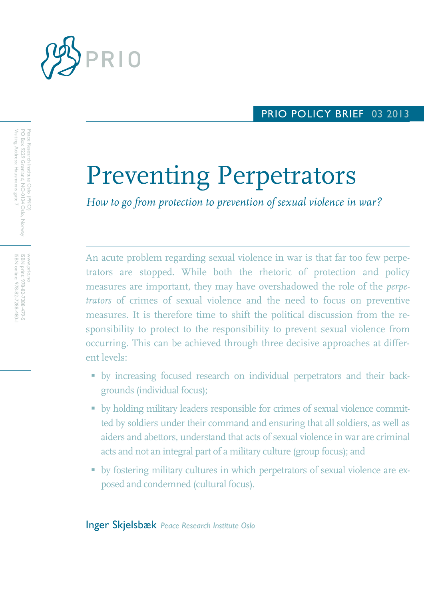

# PRIO POLICY BRIEF 03 2013

# Preventing Perpetrators

*How to go from protection to prevention of sexual violence in war?*

An acute problem regarding sexual violence in war is that far too few perpetrators are stopped. While both the rhetoric of protection and policy measures are important, they may have overshadowed the role of the *perpetrators* of crimes of sexual violence and the need to focus on preventive measures. It is therefore time to shift the political discussion from the responsibility to protect to the responsibility to prevent sexual violence from occurring. This can be achieved through three decisive approaches at different levels:

- by increasing focused research on individual perpetrators and their backgrounds (individual focus);
- by holding military leaders responsible for crimes of sexual violence committed by soldiers under their command and ensuring that all soldiers, as well as aiders and abettors, understand that acts of sexual violence in war are criminal acts and not an integral part of a military culture (group focus); and
- by fostering military cultures in which perpetrators of sexual violence are exposed and condemned (cultural focus).

Inger Skjelsbæk *Peace Research Institute Oslo*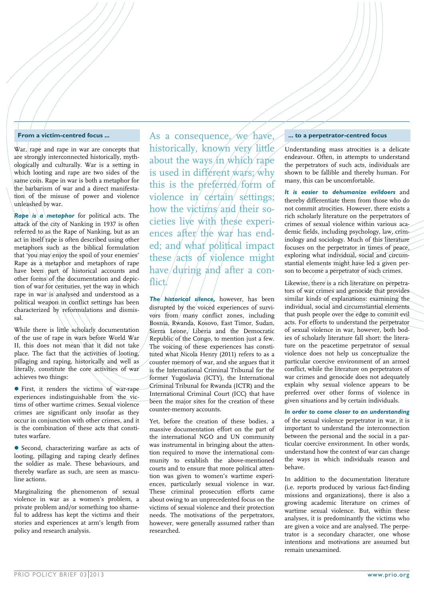#### **From a victim-centred focus ...**

War, rape and rape in war are concepts that are strongly interconnected historically, mythologically and culturally. War is a setting in which looting and rape are two sides of the same coin. Rape in war is both a metaphor for the barbarism of war and a direct manifestation of the misuse of power and violence unleashed by war.

*Rape* is *a metaphor* for political acts. The attack of the city of Nanking in 1937 is often referred to as the Rape of Nanking, but as an act in itself rape is often described using other metaphors such as the biblical formulation that 'you may enjoy the spoil of your enemies' Rape as a metaphor and metaphors of rape have been part of historical accounts and other forms of the documentation and depiction of war for centuries, yet the way in which rape in war is analysed and understood as a political weapon in conflict settings has been characterized by reformulations and dismissal.

While there is little scholarly documentation of the use of rape in wars before World War II, this does not mean that it did not take place. The fact that the activities of looting, pillaging and raping, historically and well as literally, constitute the core activities of war achieves two things:

 First, it renders the victims of war-rape experiences indistinguishable from the victims of other wartime crimes. Sexual violence crimes are significant only insofar as they occur in conjunction with other crimes, and it is the combination of these acts that constitutes warfare.

 Second, characterizing warfare as acts of looting, pillaging and raping clearly defines the soldier as male. These behaviours, and thereby warfare as such, are seen as masculine actions.

Marginalizing the phenomenon of sexual violence in war as a women's problem, a private problem and/or something too shameful to address has kept the victims and their stories and experiences at arm's length from policy and research analysis.

As a consequence, we have, historically, known very little about the ways in which rape is used in different wars; why this is the preferred form of violence in  $c$ ertain settings; how the victims and their societies live with these experiences after the war has ended; and what political impact these  $\alpha$ cts of violence might have during and after a conflict.

*The historical silence,* however, has been disrupted by the voiced experiences of survivors from  $\langle$  many conflict zones, including Bosnia, Rwanda, Kosovo, East Timor, Sudan, Sierra Leone, Liberia and the Democratic Republic of the Congo, to mention just a few. The voicing of these experiences has constituted what Nicola Henry (2011) refers to as a counter memory of war, and she argues that it is the International Criminal Tribunal for the former Yugoslavia (ICTY), the International Criminal Tribunal for Rwanda (ICTR) and the International Criminal Court (ICC) that have been the major sites for the creation of these counter-memory accounts.

Yet, before the creation of these bodies, a massive documentation effort on the part of the international NGO and UN community was instrumental in bringing about the attention required to move the international community to establish the above-mentioned courts and to ensure that more political attention was given to women's wartime experiences, particularly sexual violence in war. These criminal prosecution efforts came about owing to an unprecedented focus on the victims of sexual violence and their protection needs. The motivations of the perpetrators, however, were generally assumed rather than researched.

#### **... to a perpetrator-centred focus**

Understanding mass atrocities is a delicate endeavour. Often, in attempts to understand the perpetrators of such acts, individuals are shown to be fallible and thereby human. For many, this can be uncomfortable.

*It is easier to dehumanize evildoers* and thereby differentiate them from those who do not commit atrocities. However, there exists a rich scholarly literature on the perpetrators of crimes of sexual violence within various academic fields, including psychology, law, criminology and sociology. Much of this literature focuses on the perpetrator in times of peace, exploring what individual, social and circumstantial elements might have led a given person to become a perpetrator of such crimes.

Likewise, there is a rich literature on perpetrators of war crimes and genocide that provides similar kinds of explanations: examining the individual, social and circumstantial elements that push people over the edge to commit evil acts. For efforts to understand the perpetrator of sexual violence in war, however, both bodies of scholarly literature fall short: the literature on the peacetime perpetrator of sexual violence does not help us conceptualize the particular coercive environment of an armed conflict, while the literature on perpetrators of war crimes and genocide does not adequately explain why sexual violence appears to be preferred over other forms of violence in given situations and by certain individuals.

*In order to come closer to an understanding* of the sexual violence perpetrator in war, it is important to understand the interconnection between the personal and the social in a particular coercive environment. In other words, understand how the context of war can change the ways in which individuals reason and behave.

In addition to the documentation literature (i.e. reports produced by various fact-finding missions and organizations), there is also a growing academic literature on crimes of wartime sexual violence. But, within these analyses, it is predominantly the victims who are given a voice and are analysed. The perpetrator is a secondary character, one whose intentions and motivations are assumed but remain unexamined.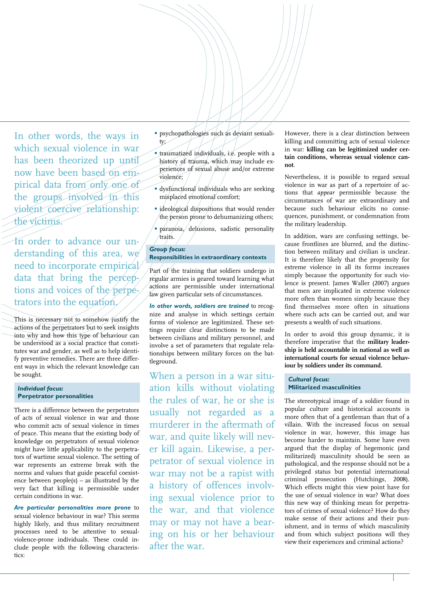In other words, the ways in which sexual violence in war has been theorized up until now have been based on empirical data from only one of the groups involved in this violent coercive relationship: the victims.

In order to advance our understanding of this area, we need to incorporate empirical data that bring the perceptions and voices of the perpetrators into the equation.

This is necessary not to somehow justify the actions of the perpetrators but to seek insights into why and how this type of behaviour can be understood as a social practice that constitutes war and gender, as well as to help identify preventive remedies. There are three different ways in which the relevant knowledge can be sought.

# *Individual focus:* **Perpetrator personalities**

There is a difference between the perpetrators of acts of sexual violence in war and those who commit acts of sexual violence in times of peace. This means that the existing body of knowledge on perpetrators of sexual violence might have little applicability to the perpetrators of wartime sexual violence. The setting of war represents an extreme break with the norms and values that guide peaceful coexistence between people(s) – as illustrated by the very fact that killing is permissible under certain conditions in war.

*Are particular personalities more prone* to sexual violence behaviour in war? This seems highly likely, and thus military recruitment processes need to be attentive to sexualviolence-prone individuals. These could include people with the following characteristics:

- psychopathologies such as deviant sexuality;
- traumatized individuals, i.e. people with a history of trauma, which may include experiences of sexual abuse and/or extreme violence;
- dysfunctional individuals who are seeking misplaced emotional comfort;
- **i** ideological dispositions that would render the person prone to dehumanizing others;
- paranoia, delusions, sadistic personality traits.

# *Group focus:* **Responsibilities in extraordinary contexts**

Part of the training that soldiers undergo in regular armies is geared toward learning what actions are permissible under international law given particular sets of circumstances.

*In other words, soldiers are trained* to recognize and analyse in which settings certain forms of violence are legitimized. These settings require clear distinctions to be made between civilians and military personnel, and involve a set of parameters that regulate relationships between military forces on the battleground.

When a person in a war situation kills without violating the rules of war, he or she is usually not regarded as a murderer in the aftermath of war, and quite likely will never kill again. Likewise, a perpetrator of sexual violence in war may not be a rapist with a history of offences involving sexual violence prior to the war, and that violence may or may not have a bearing on his or her behaviour after the war.

However, there is a clear distinction between killing and committing acts of sexual violence in war: **killing can be legitimized under certain conditions, whereas sexual violence cannot**.

Nevertheless, it is possible to regard sexual violence in war as part of a repertoire of actions that *appear* permissible because the circumstances of war are extraordinary and because such behaviour elicits no consequences, punishment, or condemnation from the military leadership.

In addition, wars are confusing settings, because frontlines are blurred, and the distinction between military and civilian is unclear. It is therefore likely that the propensity for extreme violence in all its forms increases simply because the opportunity for such violence is present. James Waller (2007) argues that men are implicated in extreme violence more often than women simply because they find themselves more often in situations where such acts can be carried out, and war presents a wealth of such situations.

In order to avoid this group dynamic, it is therefore imperative that the **military leadership is held accountable in national as well as international courts for sexual violence behaviour by soldiers under its command.**

*Cultural focus:* **Militarized masculinities**

The stereotypical image of a soldier found in popular culture and historical accounts is more often that of a gentleman than that of a villain. With the increased focus on sexual violence in war, however, this image has become harder to maintain. Some have even argued that the display of hegemonic (and militarized) masculinity should be seen as pathological, and the response should not be a privileged status but potential international criminal prosecution (Hutchings, 2008). Which effects might this view point have for the use of sexual violence in war? What does this new way of thinking mean for perpetrators of crimes of sexual violence? How do they make sense of their actions and their punishment, and in terms of which masculinity and from which subject positions will they view their experiences and criminal actions?